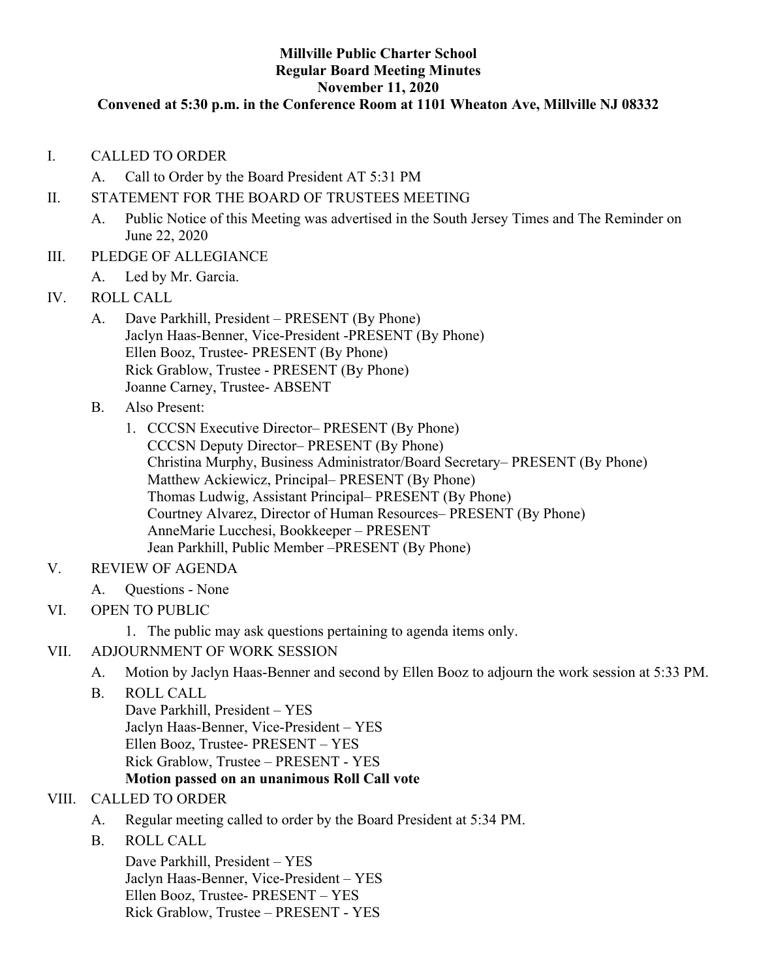### **Millville Public Charter School Regular Board Meeting Minutes November 11, 2020**

### **Convened at 5:30 p.m. in the Conference Room at 1101 Wheaton Ave, Millville NJ 08332**

- I. CALLED TO ORDER
	- A. Call to Order by the Board President AT 5:31 PM
- II. STATEMENT FOR THE BOARD OF TRUSTEES MEETING
	- A. Public Notice of this Meeting was advertised in the South Jersey Times and The Reminder on June 22, 2020
- III. PLEDGE OF ALLEGIANCE
	- A. Led by Mr. Garcia.
- IV. ROLL CALL
	- A. Dave Parkhill, President PRESENT (By Phone) Jaclyn Haas-Benner, Vice-President -PRESENT (By Phone) Ellen Booz, Trustee- PRESENT (By Phone) Rick Grablow, Trustee - PRESENT (By Phone) Joanne Carney, Trustee- ABSENT
	- B. Also Present:
		- 1. CCCSN Executive Director– PRESENT (By Phone) CCCSN Deputy Director– PRESENT (By Phone) Christina Murphy, Business Administrator/Board Secretary– PRESENT (By Phone) Matthew Ackiewicz, Principal– PRESENT (By Phone) Thomas Ludwig, Assistant Principal– PRESENT (By Phone) Courtney Alvarez, Director of Human Resources– PRESENT (By Phone) AnneMarie Lucchesi, Bookkeeper – PRESENT Jean Parkhill, Public Member –PRESENT (By Phone)
- V. REVIEW OF AGENDA
	- A. Questions None
- VI. OPEN TO PUBLIC
	- 1. The public may ask questions pertaining to agenda items only.
- VII. ADJOURNMENT OF WORK SESSION
	- A. Motion by Jaclyn Haas-Benner and second by Ellen Booz to adjourn the work session at 5:33 PM.
	- B. ROLL CALL Dave Parkhill, President – YES Jaclyn Haas-Benner, Vice-President – YES Ellen Booz, Trustee- PRESENT – YES Rick Grablow, Trustee – PRESENT - YES **Motion passed on an unanimous Roll Call vote**

## VIII. CALLED TO ORDER

- A. Regular meeting called to order by the Board President at 5:34 PM.
- B. ROLL CALL

Dave Parkhill, President – YES Jaclyn Haas-Benner, Vice-President – YES Ellen Booz, Trustee- PRESENT – YES Rick Grablow, Trustee – PRESENT - YES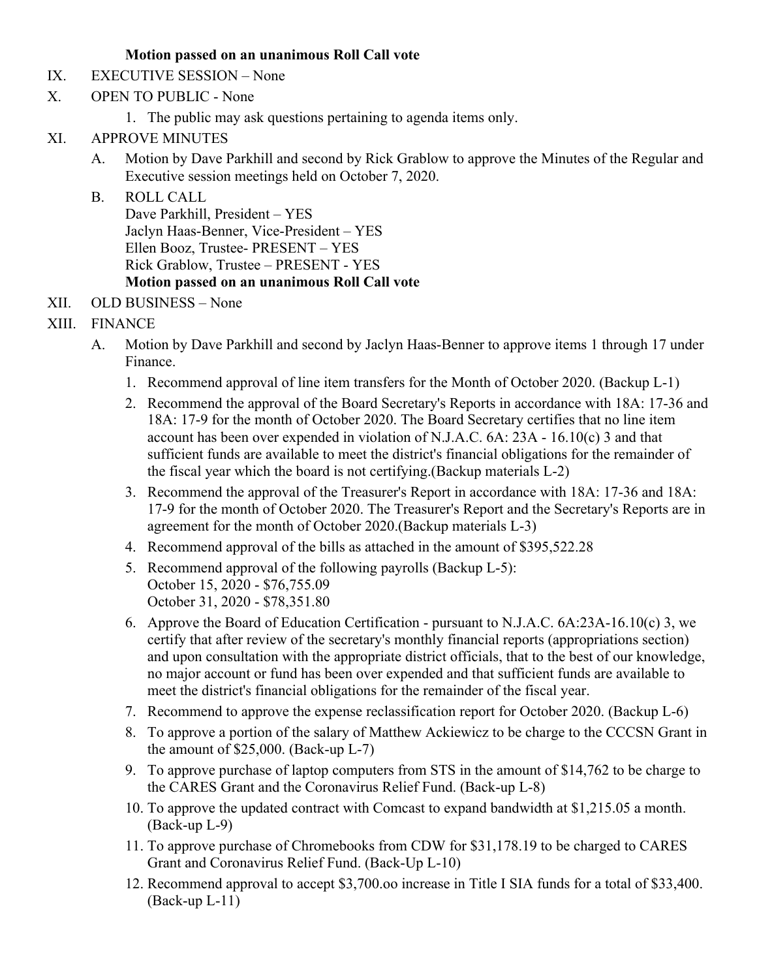# **Motion passed on an unanimous Roll Call vote**

- IX. EXECUTIVE SESSION None
- X. OPEN TO PUBLIC None
	- 1. The public may ask questions pertaining to agenda items only.
- XI. APPROVE MINUTES
	- A. Motion by Dave Parkhill and second by Rick Grablow to approve the Minutes of the Regular and Executive session meetings held on October 7, 2020.
	- B. ROLL CALL Dave Parkhill, President – YES Jaclyn Haas-Benner, Vice-President – YES Ellen Booz, Trustee- PRESENT – YES Rick Grablow, Trustee – PRESENT - YES **Motion passed on an unanimous Roll Call vote**
- XII. OLD BUSINESS None
- XIII. FINANCE
	- A. Motion by Dave Parkhill and second by Jaclyn Haas-Benner to approve items 1 through 17 under Finance.
		- 1. Recommend approval of line item transfers for the Month of October 2020. (Backup L-1)
		- 2. Recommend the approval of the Board Secretary's Reports in accordance with 18A: 17-36 and 18A: 17-9 for the month of October 2020. The Board Secretary certifies that no line item account has been over expended in violation of N.J.A.C. 6A: 23A - 16.10(c) 3 and that sufficient funds are available to meet the district's financial obligations for the remainder of the fiscal year which the board is not certifying.(Backup materials L-2)
		- 3. Recommend the approval of the Treasurer's Report in accordance with 18A: 17-36 and 18A: 17-9 for the month of October 2020. The Treasurer's Report and the Secretary's Reports are in agreement for the month of October 2020.(Backup materials L-3)
		- 4. Recommend approval of the bills as attached in the amount of \$395,522.28
		- 5. Recommend approval of the following payrolls (Backup L-5): October 15, 2020 - \$76,755.09 October 31, 2020 - \$78,351.80
		- 6. Approve the Board of Education Certification pursuant to N.J.A.C. 6A:23A-16.10(c) 3, we certify that after review of the secretary's monthly financial reports (appropriations section) and upon consultation with the appropriate district officials, that to the best of our knowledge, no major account or fund has been over expended and that sufficient funds are available to meet the district's financial obligations for the remainder of the fiscal year.
		- 7. Recommend to approve the expense reclassification report for October 2020. (Backup L-6)
		- 8. To approve a portion of the salary of Matthew Ackiewicz to be charge to the CCCSN Grant in the amount of \$25,000. (Back-up L-7)
		- 9. To approve purchase of laptop computers from STS in the amount of \$14,762 to be charge to the CARES Grant and the Coronavirus Relief Fund. (Back-up L-8)
		- 10. To approve the updated contract with Comcast to expand bandwidth at \$1,215.05 a month. (Back-up L-9)
		- 11. To approve purchase of Chromebooks from CDW for \$31,178.19 to be charged to CARES Grant and Coronavirus Relief Fund. (Back-Up L-10)
		- 12. Recommend approval to accept \$3,700.oo increase in Title I SIA funds for a total of \$33,400. (Back-up L-11)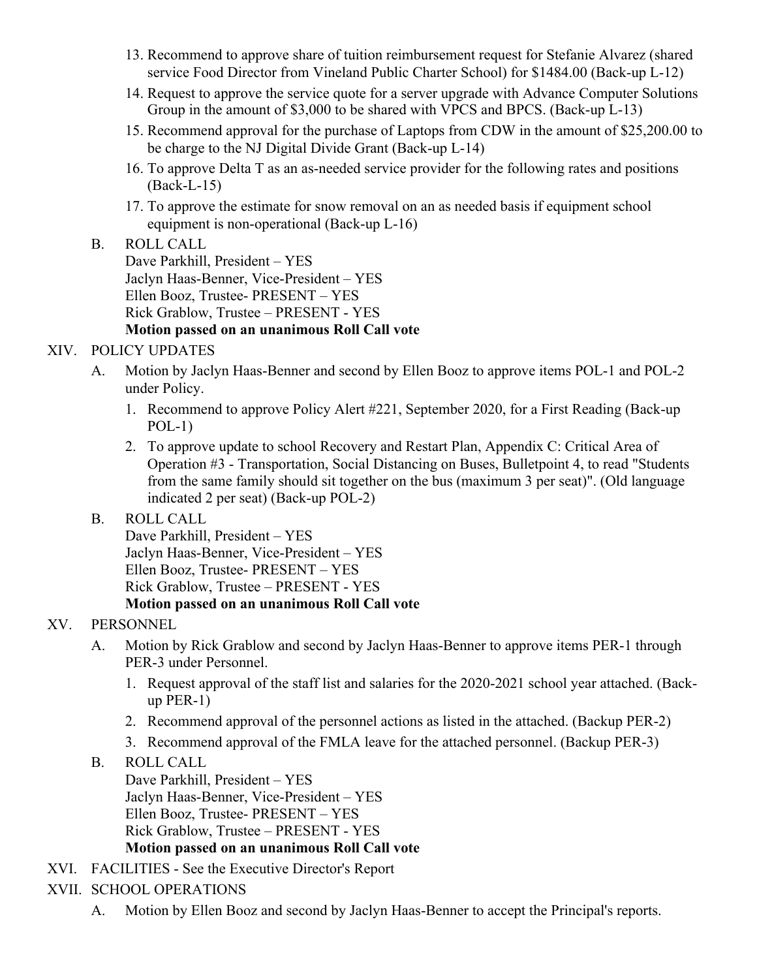- 13. Recommend to approve share of tuition reimbursement request for Stefanie Alvarez (shared service Food Director from Vineland Public Charter School) for \$1484.00 (Back-up L-12)
- 14. Request to approve the service quote for a server upgrade with Advance Computer Solutions Group in the amount of \$3,000 to be shared with VPCS and BPCS. (Back-up L-13)
- 15. Recommend approval for the purchase of Laptops from CDW in the amount of \$25,200.00 to be charge to the NJ Digital Divide Grant (Back-up L-14)
- 16. To approve Delta T as an as-needed service provider for the following rates and positions (Back-L-15)
- 17. To approve the estimate for snow removal on an as needed basis if equipment school equipment is non-operational (Back-up L-16)
- B. ROLL CALL Dave Parkhill, President – YES Jaclyn Haas-Benner, Vice-President – YES Ellen Booz, Trustee- PRESENT – YES Rick Grablow, Trustee – PRESENT - YES **Motion passed on an unanimous Roll Call vote**
- XIV. POLICY UPDATES
	- A. Motion by Jaclyn Haas-Benner and second by Ellen Booz to approve items POL-1 and POL-2 under Policy.
		- 1. Recommend to approve Policy Alert #221, September 2020, for a First Reading (Back-up  $POL-1)$
		- 2. To approve update to school Recovery and Restart Plan, Appendix C: Critical Area of Operation #3 - Transportation, Social Distancing on Buses, Bulletpoint 4, to read "Students from the same family should sit together on the bus (maximum 3 per seat)". (Old language indicated 2 per seat) (Back-up POL-2)
	- B. ROLL CALL

Dave Parkhill, President – YES Jaclyn Haas-Benner, Vice-President – YES Ellen Booz, Trustee- PRESENT – YES Rick Grablow, Trustee – PRESENT - YES **Motion passed on an unanimous Roll Call vote**

# XV. PERSONNEL

- A. Motion by Rick Grablow and second by Jaclyn Haas-Benner to approve items PER-1 through PER-3 under Personnel.
	- 1. Request approval of the staff list and salaries for the 2020-2021 school year attached. (Backup PER-1)
	- 2. Recommend approval of the personnel actions as listed in the attached. (Backup PER-2)
	- 3. Recommend approval of the FMLA leave for the attached personnel. (Backup PER-3)
- B. ROLL CALL

Dave Parkhill, President – YES Jaclyn Haas-Benner, Vice-President – YES Ellen Booz, Trustee- PRESENT – YES Rick Grablow, Trustee – PRESENT - YES **Motion passed on an unanimous Roll Call vote**

- XVI. FACILITIES See the Executive Director's Report
- XVII. SCHOOL OPERATIONS
	- A. Motion by Ellen Booz and second by Jaclyn Haas-Benner to accept the Principal's reports.